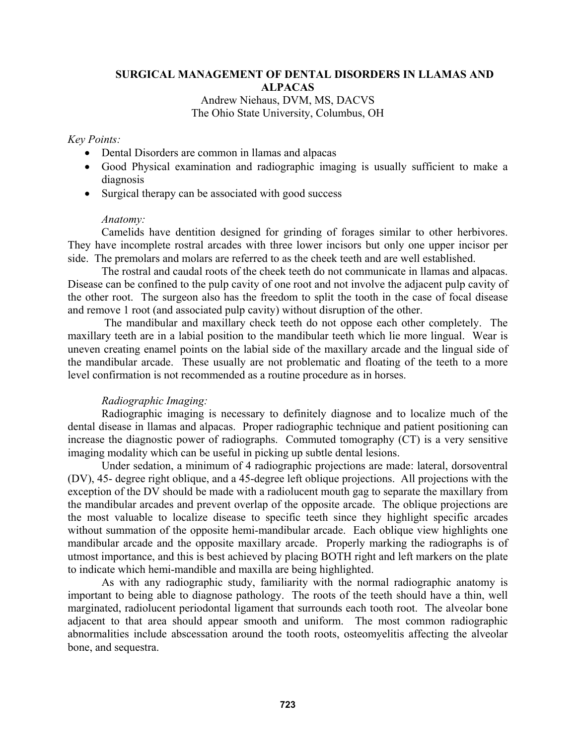# **SURGICAL MANAGEMENT OF DENTAL DISORDERS IN LLAMAS AND ALPACAS**

## Andrew Niehaus, DVM, MS, DACVS The Ohio State University, Columbus, OH

## *Key Points:*

- Dental Disorders are common in llamas and alpacas
- Good Physical examination and radiographic imaging is usually sufficient to make a diagnosis
- Surgical therapy can be associated with good success

## *Anatomy:*

Camelids have dentition designed for grinding of forages similar to other herbivores. They have incomplete rostral arcades with three lower incisors but only one upper incisor per side. The premolars and molars are referred to as the cheek teeth and are well established.

The rostral and caudal roots of the cheek teeth do not communicate in llamas and alpacas. Disease can be confined to the pulp cavity of one root and not involve the adjacent pulp cavity of the other root. The surgeon also has the freedom to split the tooth in the case of focal disease and remove 1 root (and associated pulp cavity) without disruption of the other.

 The mandibular and maxillary check teeth do not oppose each other completely. The maxillary teeth are in a labial position to the mandibular teeth which lie more lingual. Wear is uneven creating enamel points on the labial side of the maxillary arcade and the lingual side of the mandibular arcade. These usually are not problematic and floating of the teeth to a more level confirmation is not recommended as a routine procedure as in horses.

## *Radiographic Imaging:*

Radiographic imaging is necessary to definitely diagnose and to localize much of the dental disease in llamas and alpacas. Proper radiographic technique and patient positioning can increase the diagnostic power of radiographs. Commuted tomography (CT) is a very sensitive imaging modality which can be useful in picking up subtle dental lesions.

Under sedation, a minimum of 4 radiographic projections are made: lateral, dorsoventral (DV), 45- degree right oblique, and a 45-degree left oblique projections. All projections with the exception of the DV should be made with a radiolucent mouth gag to separate the maxillary from the mandibular arcades and prevent overlap of the opposite arcade. The oblique projections are the most valuable to localize disease to specific teeth since they highlight specific arcades without summation of the opposite hemi-mandibular arcade. Each oblique view highlights one mandibular arcade and the opposite maxillary arcade. Properly marking the radiographs is of utmost importance, and this is best achieved by placing BOTH right and left markers on the plate to indicate which hemi-mandible and maxilla are being highlighted.

As with any radiographic study, familiarity with the normal radiographic anatomy is important to being able to diagnose pathology. The roots of the teeth should have a thin, well marginated, radiolucent periodontal ligament that surrounds each tooth root. The alveolar bone adjacent to that area should appear smooth and uniform. The most common radiographic abnormalities include abscessation around the tooth roots, osteomyelitis affecting the alveolar bone, and sequestra.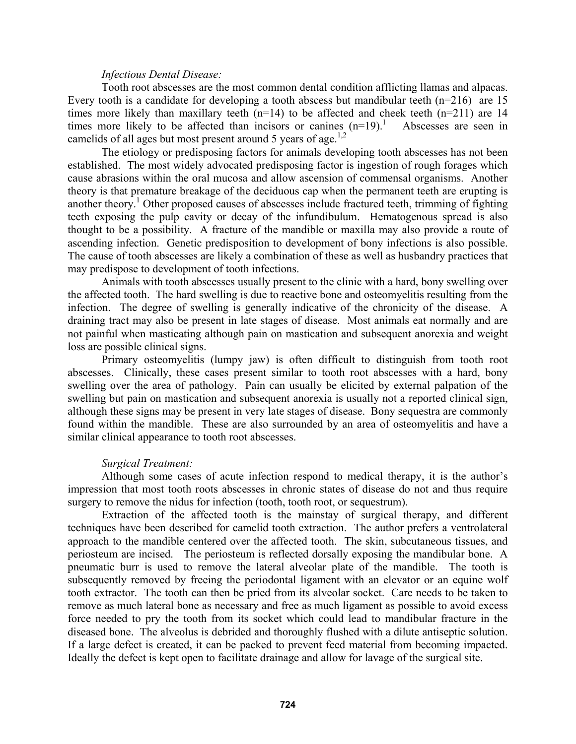#### *Infectious Dental Disease:*

Tooth root abscesses are the most common dental condition afflicting llamas and alpacas. Every tooth is a candidate for developing a tooth abscess but mandibular teeth  $(n=216)$  are 15 times more likely than maxillary teeth  $(n=14)$  to be affected and cheek teeth  $(n=211)$  are 14 times more likely to be affected than incisors or canines  $(n=19)$ .<sup>1</sup> Abscesses are seen in camelids of all ages but most present around 5 years of age.<sup>1,2</sup>

The etiology or predisposing factors for animals developing tooth abscesses has not been established. The most widely advocated predisposing factor is ingestion of rough forages which cause abrasions within the oral mucosa and allow ascension of commensal organisms. Another theory is that premature breakage of the deciduous cap when the permanent teeth are erupting is another theory.<sup>1</sup> Other proposed causes of abscesses include fractured teeth, trimming of fighting teeth exposing the pulp cavity or decay of the infundibulum. Hematogenous spread is also thought to be a possibility. A fracture of the mandible or maxilla may also provide a route of ascending infection. Genetic predisposition to development of bony infections is also possible. The cause of tooth abscesses are likely a combination of these as well as husbandry practices that may predispose to development of tooth infections.

Animals with tooth abscesses usually present to the clinic with a hard, bony swelling over the affected tooth. The hard swelling is due to reactive bone and osteomyelitis resulting from the infection. The degree of swelling is generally indicative of the chronicity of the disease. A draining tract may also be present in late stages of disease. Most animals eat normally and are not painful when masticating although pain on mastication and subsequent anorexia and weight loss are possible clinical signs.

Primary osteomyelitis (lumpy jaw) is often difficult to distinguish from tooth root abscesses. Clinically, these cases present similar to tooth root abscesses with a hard, bony swelling over the area of pathology. Pain can usually be elicited by external palpation of the swelling but pain on mastication and subsequent anorexia is usually not a reported clinical sign, although these signs may be present in very late stages of disease. Bony sequestra are commonly found within the mandible. These are also surrounded by an area of osteomyelitis and have a similar clinical appearance to tooth root abscesses.

#### *Surgical Treatment:*

Although some cases of acute infection respond to medical therapy, it is the author's impression that most tooth roots abscesses in chronic states of disease do not and thus require surgery to remove the nidus for infection (tooth, tooth root, or sequestrum).

Extraction of the affected tooth is the mainstay of surgical therapy, and different techniques have been described for camelid tooth extraction. The author prefers a ventrolateral approach to the mandible centered over the affected tooth. The skin, subcutaneous tissues, and periosteum are incised. The periosteum is reflected dorsally exposing the mandibular bone. A pneumatic burr is used to remove the lateral alveolar plate of the mandible. The tooth is subsequently removed by freeing the periodontal ligament with an elevator or an equine wolf tooth extractor. The tooth can then be pried from its alveolar socket. Care needs to be taken to remove as much lateral bone as necessary and free as much ligament as possible to avoid excess force needed to pry the tooth from its socket which could lead to mandibular fracture in the diseased bone. The alveolus is debrided and thoroughly flushed with a dilute antiseptic solution. If a large defect is created, it can be packed to prevent feed material from becoming impacted. Ideally the defect is kept open to facilitate drainage and allow for lavage of the surgical site.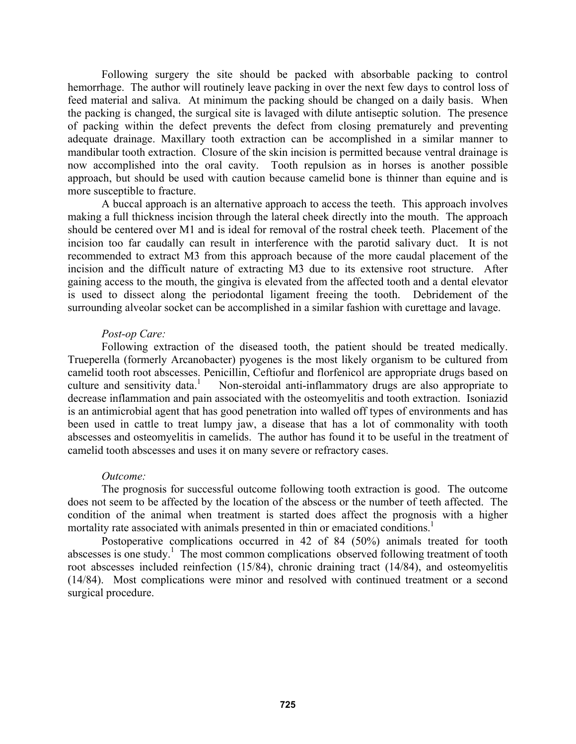Following surgery the site should be packed with absorbable packing to control hemorrhage. The author will routinely leave packing in over the next few days to control loss of feed material and saliva. At minimum the packing should be changed on a daily basis. When the packing is changed, the surgical site is lavaged with dilute antiseptic solution. The presence of packing within the defect prevents the defect from closing prematurely and preventing adequate drainage. Maxillary tooth extraction can be accomplished in a similar manner to mandibular tooth extraction. Closure of the skin incision is permitted because ventral drainage is now accomplished into the oral cavity. Tooth repulsion as in horses is another possible approach, but should be used with caution because camelid bone is thinner than equine and is more susceptible to fracture.

A buccal approach is an alternative approach to access the teeth. This approach involves making a full thickness incision through the lateral cheek directly into the mouth. The approach should be centered over M1 and is ideal for removal of the rostral cheek teeth. Placement of the incision too far caudally can result in interference with the parotid salivary duct. It is not recommended to extract M3 from this approach because of the more caudal placement of the incision and the difficult nature of extracting M3 due to its extensive root structure. After gaining access to the mouth, the gingiva is elevated from the affected tooth and a dental elevator is used to dissect along the periodontal ligament freeing the tooth. Debridement of the surrounding alveolar socket can be accomplished in a similar fashion with curettage and lavage.

## *Post-op Care:*

Following extraction of the diseased tooth, the patient should be treated medically. Trueperella (formerly Arcanobacter) pyogenes is the most likely organism to be cultured from camelid tooth root abscesses. Penicillin, Ceftiofur and florfenicol are appropriate drugs based on culture and sensitivity data. $\frac{1}{1}$  Non-steroidal anti-inflammatory drugs are also appropriate to decrease inflammation and pain associated with the osteomyelitis and tooth extraction. Isoniazid is an antimicrobial agent that has good penetration into walled off types of environments and has been used in cattle to treat lumpy jaw, a disease that has a lot of commonality with tooth abscesses and osteomyelitis in camelids. The author has found it to be useful in the treatment of camelid tooth abscesses and uses it on many severe or refractory cases.

#### *Outcome:*

The prognosis for successful outcome following tooth extraction is good. The outcome does not seem to be affected by the location of the abscess or the number of teeth affected. The condition of the animal when treatment is started does affect the prognosis with a higher mortality rate associated with animals presented in thin or emaciated conditions.<sup>1</sup>

Postoperative complications occurred in 42 of 84 (50%) animals treated for tooth abscesses is one study.<sup>1</sup> The most common complications observed following treatment of tooth root abscesses included reinfection (15/84), chronic draining tract (14/84), and osteomyelitis (14/84). Most complications were minor and resolved with continued treatment or a second surgical procedure.